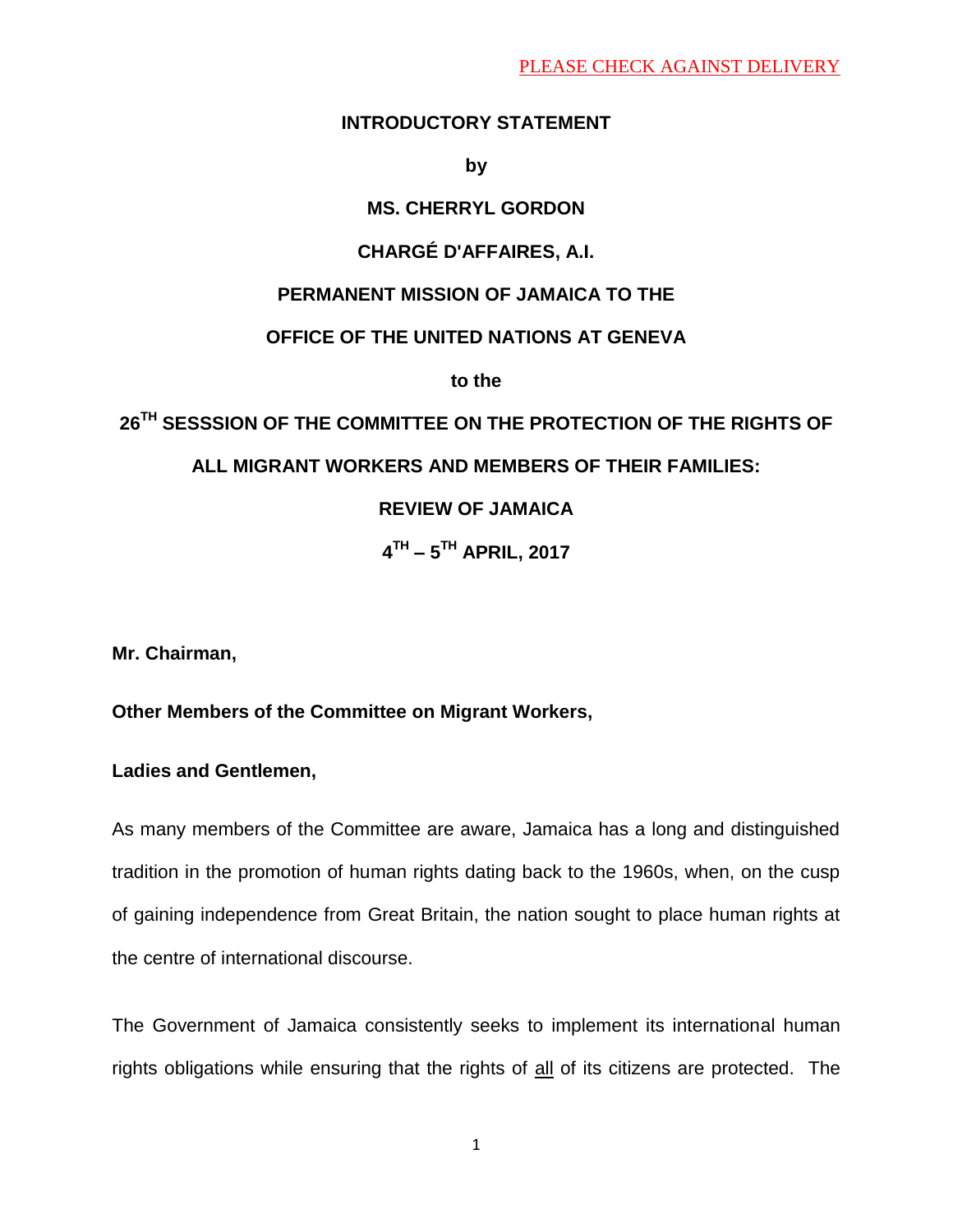## **INTRODUCTORY STATEMENT**

**by** 

# **MS. CHERRYL GORDON**

# **CHARGÉ D'AFFAIRES, A.I.**

## **PERMANENT MISSION OF JAMAICA TO THE**

## **OFFICE OF THE UNITED NATIONS AT GENEVA**

**to the**

# **26TH SESSSION OF THE COMMITTEE ON THE PROTECTION OF THE RIGHTS OF**

# **ALL MIGRANT WORKERS AND MEMBERS OF THEIR FAMILIES:**

# **REVIEW OF JAMAICA**

**4 TH – 5 TH APRIL, 2017**

**Mr. Chairman,**

# **Other Members of the Committee on Migrant Workers,**

**Ladies and Gentlemen,**

As many members of the Committee are aware, Jamaica has a long and distinguished tradition in the promotion of human rights dating back to the 1960s, when, on the cusp of gaining independence from Great Britain, the nation sought to place human rights at the centre of international discourse.

The Government of Jamaica consistently seeks to implement its international human rights obligations while ensuring that the rights of all of its citizens are protected. The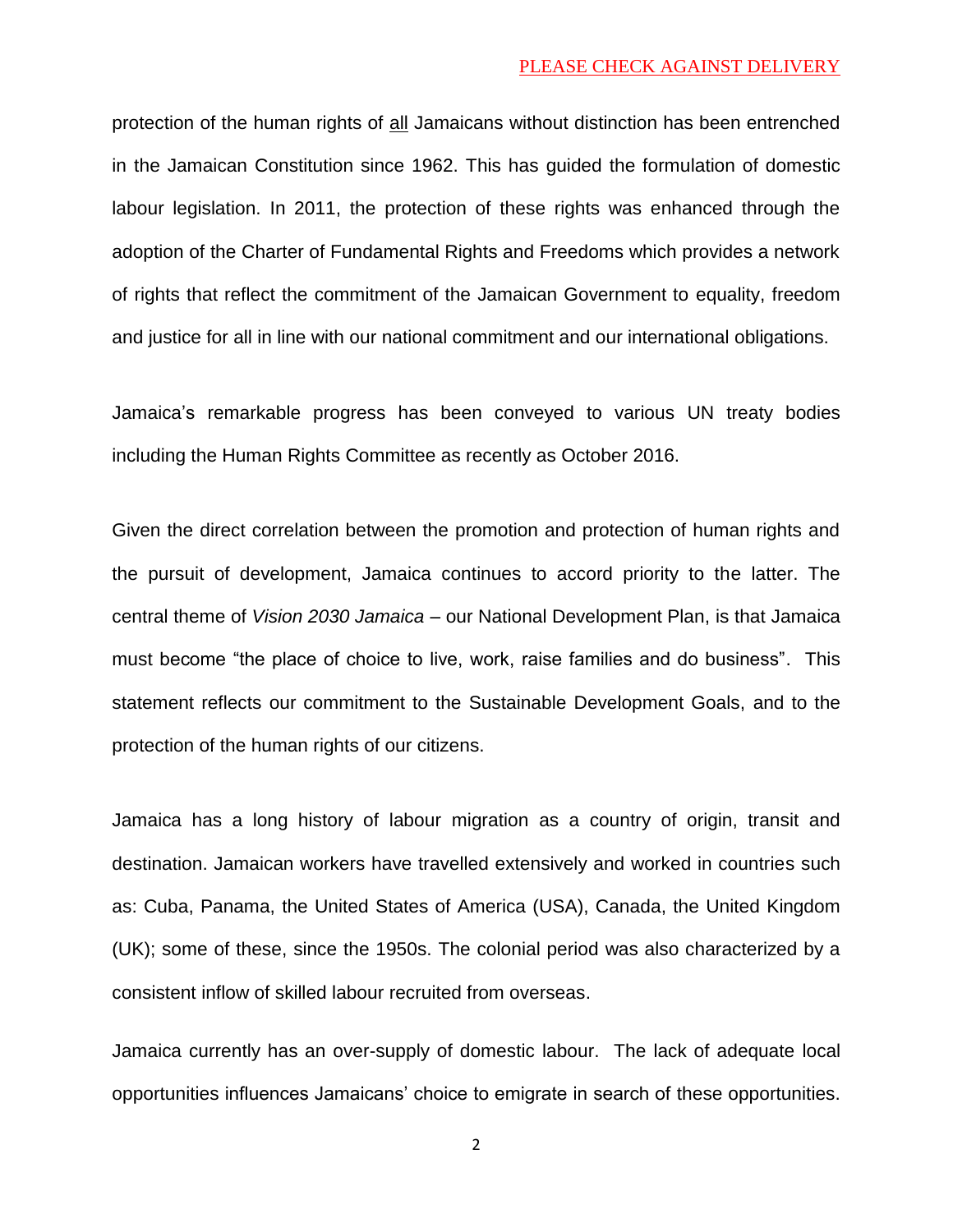#### PLEASE CHECK AGAINST DELIVERY

protection of the human rights of all Jamaicans without distinction has been entrenched in the Jamaican Constitution since 1962. This has guided the formulation of domestic labour legislation. In 2011, the protection of these rights was enhanced through the adoption of the Charter of Fundamental Rights and Freedoms which provides a network of rights that reflect the commitment of the Jamaican Government to equality, freedom and justice for all in line with our national commitment and our international obligations.

Jamaica's remarkable progress has been conveyed to various UN treaty bodies including the Human Rights Committee as recently as October 2016.

Given the direct correlation between the promotion and protection of human rights and the pursuit of development, Jamaica continues to accord priority to the latter. The central theme of *Vision 2030 Jamaica* – our National Development Plan, is that Jamaica must become "the place of choice to live, work, raise families and do business". This statement reflects our commitment to the Sustainable Development Goals, and to the protection of the human rights of our citizens.

Jamaica has a long history of labour migration as a country of origin, transit and destination. Jamaican workers have travelled extensively and worked in countries such as: Cuba, Panama, the United States of America (USA), Canada, the United Kingdom (UK); some of these, since the 1950s. The colonial period was also characterized by a consistent inflow of skilled labour recruited from overseas.

Jamaica currently has an over-supply of domestic labour. The lack of adequate local opportunities influences Jamaicans' choice to emigrate in search of these opportunities.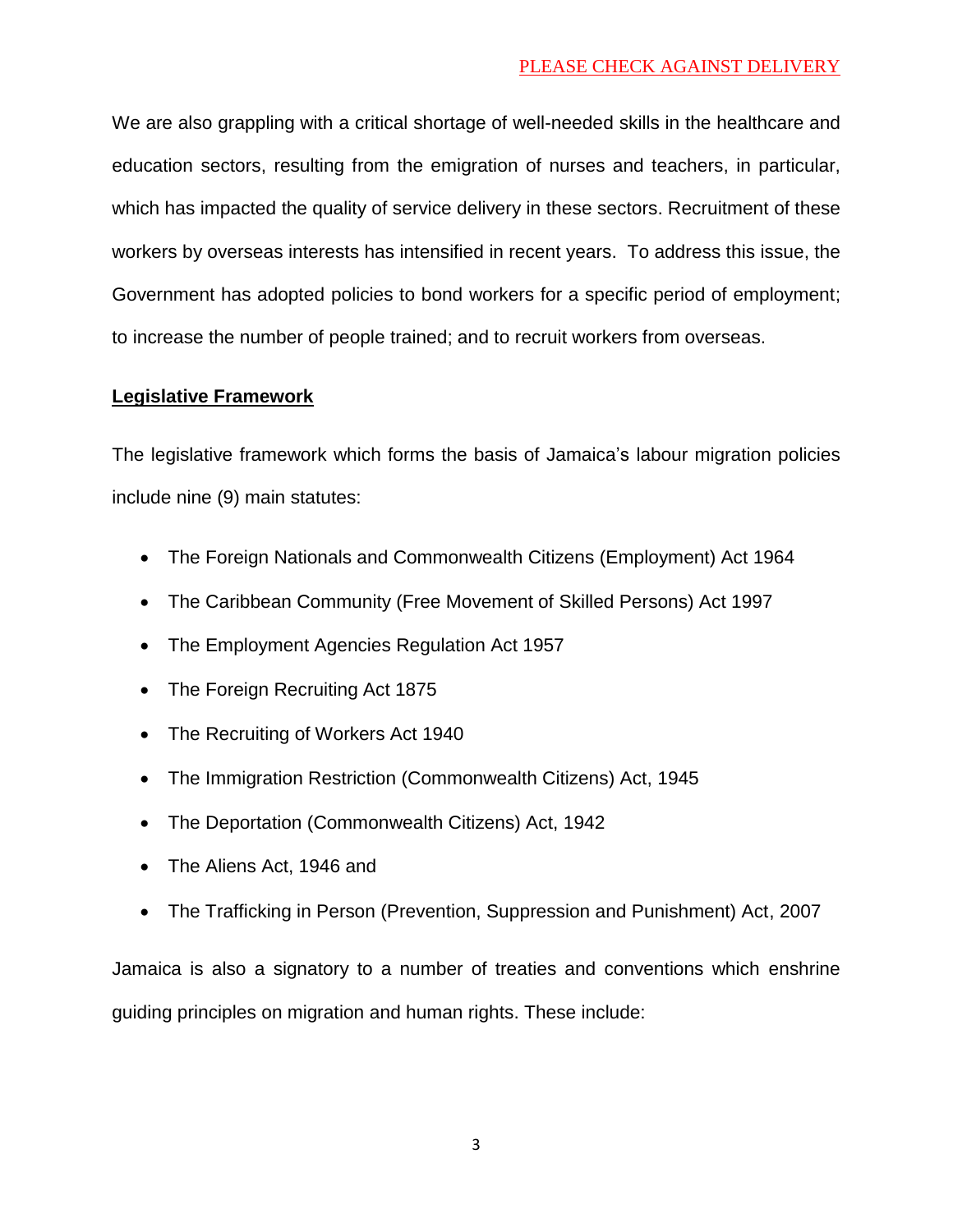## PLEASE CHECK AGAINST DELIVERY

We are also grappling with a critical shortage of well-needed skills in the healthcare and education sectors, resulting from the emigration of nurses and teachers, in particular, which has impacted the quality of service delivery in these sectors. Recruitment of these workers by overseas interests has intensified in recent years. To address this issue, the Government has adopted policies to bond workers for a specific period of employment; to increase the number of people trained; and to recruit workers from overseas.

## **Legislative Framework**

The legislative framework which forms the basis of Jamaica's labour migration policies include nine (9) main statutes:

- The Foreign Nationals and Commonwealth Citizens (Employment) Act 1964
- The Caribbean Community (Free Movement of Skilled Persons) Act 1997
- The Employment Agencies Regulation Act 1957
- The Foreign Recruiting Act 1875
- The Recruiting of Workers Act 1940
- The Immigration Restriction (Commonwealth Citizens) Act, 1945
- The Deportation (Commonwealth Citizens) Act, 1942
- The Aliens Act, 1946 and
- The Trafficking in Person (Prevention, Suppression and Punishment) Act, 2007

Jamaica is also a signatory to a number of treaties and conventions which enshrine guiding principles on migration and human rights. These include: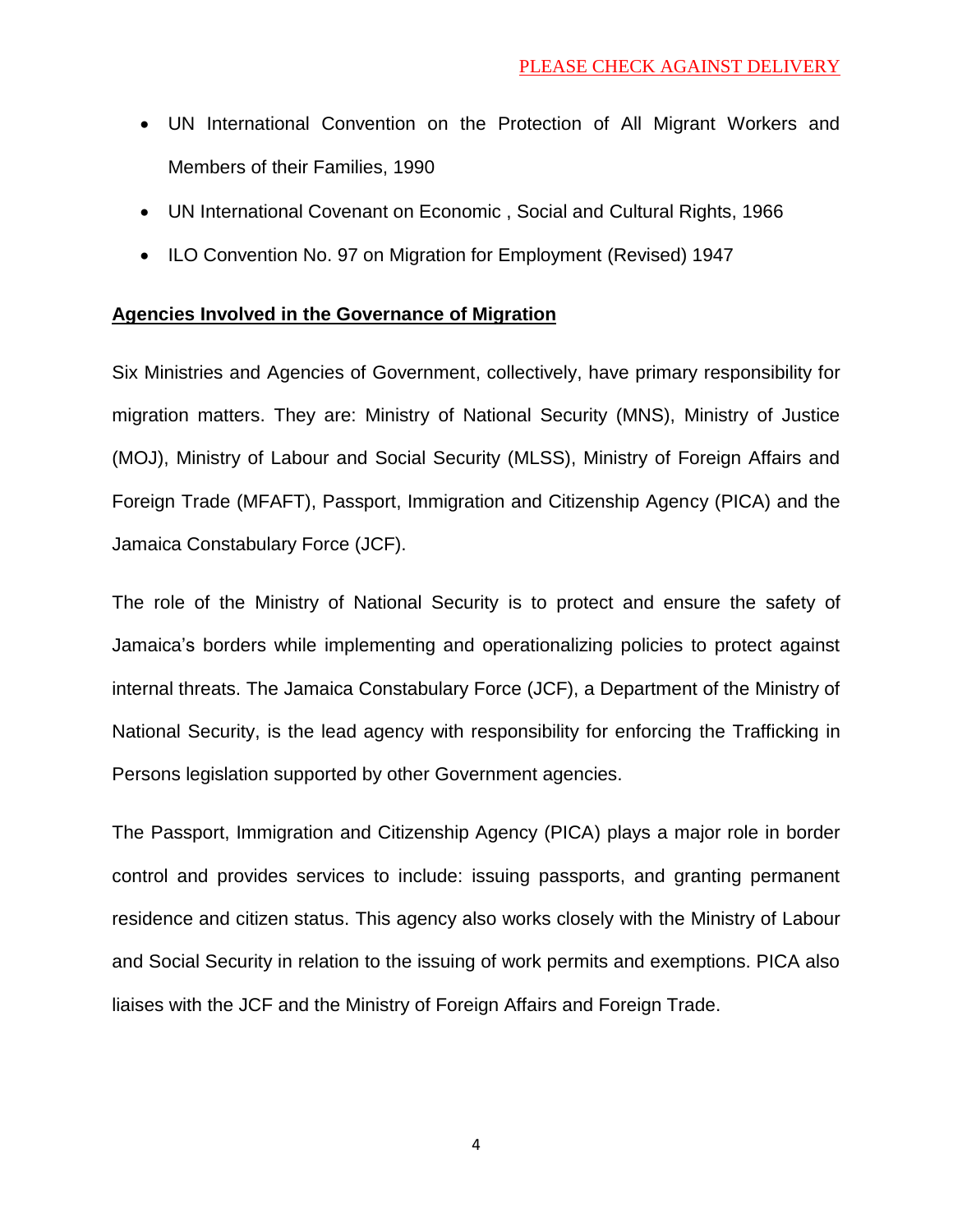- UN International Convention on the Protection of All Migrant Workers and Members of their Families, 1990
- UN International Covenant on Economic , Social and Cultural Rights, 1966
- ILO Convention No. 97 on Migration for Employment (Revised) 1947

## **Agencies Involved in the Governance of Migration**

Six Ministries and Agencies of Government, collectively, have primary responsibility for migration matters. They are: Ministry of National Security (MNS), Ministry of Justice (MOJ), Ministry of Labour and Social Security (MLSS), Ministry of Foreign Affairs and Foreign Trade (MFAFT), Passport, Immigration and Citizenship Agency (PICA) and the Jamaica Constabulary Force (JCF).

The role of the Ministry of National Security is to protect and ensure the safety of Jamaica's borders while implementing and operationalizing policies to protect against internal threats. The Jamaica Constabulary Force (JCF), a Department of the Ministry of National Security, is the lead agency with responsibility for enforcing the Trafficking in Persons legislation supported by other Government agencies.

The Passport, Immigration and Citizenship Agency (PICA) plays a major role in border control and provides services to include: issuing passports, and granting permanent residence and citizen status. This agency also works closely with the Ministry of Labour and Social Security in relation to the issuing of work permits and exemptions. PICA also liaises with the JCF and the Ministry of Foreign Affairs and Foreign Trade.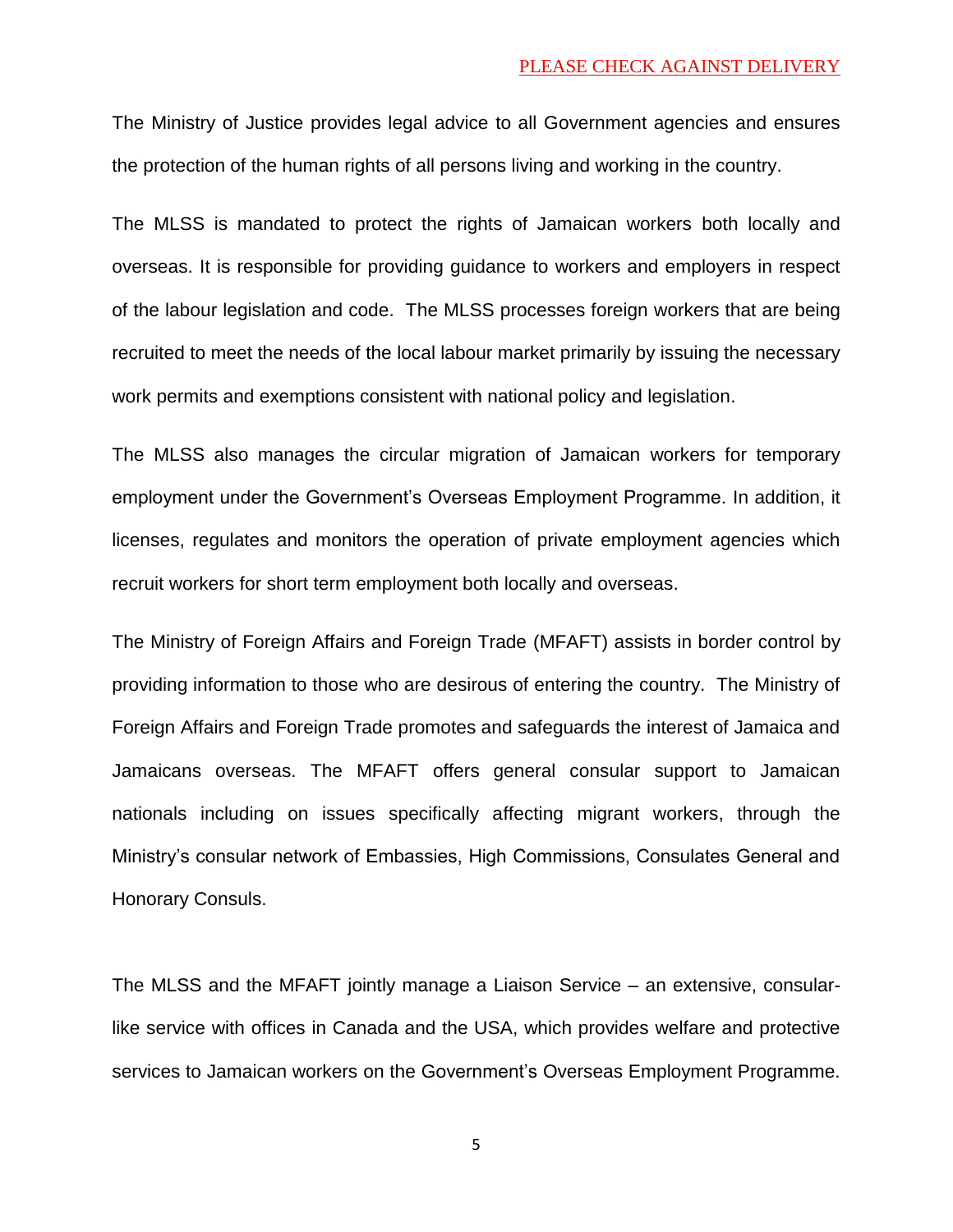The Ministry of Justice provides legal advice to all Government agencies and ensures the protection of the human rights of all persons living and working in the country.

The MLSS is mandated to protect the rights of Jamaican workers both locally and overseas. It is responsible for providing guidance to workers and employers in respect of the labour legislation and code. The MLSS processes foreign workers that are being recruited to meet the needs of the local labour market primarily by issuing the necessary work permits and exemptions consistent with national policy and legislation.

The MLSS also manages the circular migration of Jamaican workers for temporary employment under the Government's Overseas Employment Programme. In addition, it licenses, regulates and monitors the operation of private employment agencies which recruit workers for short term employment both locally and overseas.

The Ministry of Foreign Affairs and Foreign Trade (MFAFT) assists in border control by providing information to those who are desirous of entering the country. The Ministry of Foreign Affairs and Foreign Trade promotes and safeguards the interest of Jamaica and Jamaicans overseas. The MFAFT offers general consular support to Jamaican nationals including on issues specifically affecting migrant workers, through the Ministry's consular network of Embassies, High Commissions, Consulates General and Honorary Consuls.

The MLSS and the MFAFT jointly manage a Liaison Service – an extensive, consularlike service with offices in Canada and the USA, which provides welfare and protective services to Jamaican workers on the Government's Overseas Employment Programme.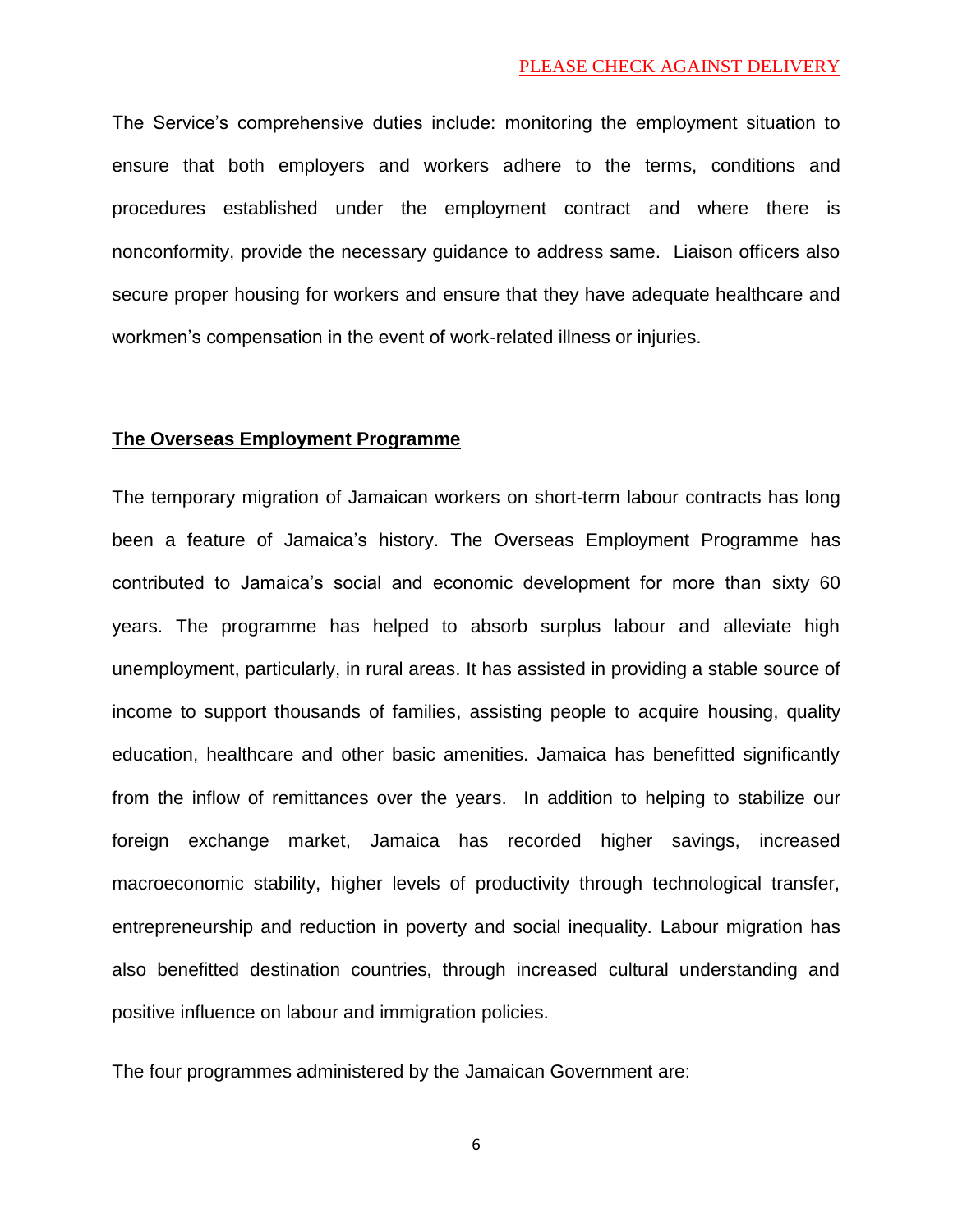The Service's comprehensive duties include: monitoring the employment situation to ensure that both employers and workers adhere to the terms, conditions and procedures established under the employment contract and where there is nonconformity, provide the necessary guidance to address same. Liaison officers also secure proper housing for workers and ensure that they have adequate healthcare and workmen's compensation in the event of work-related illness or injuries.

## **The Overseas Employment Programme**

The temporary migration of Jamaican workers on short-term labour contracts has long been a feature of Jamaica's history. The Overseas Employment Programme has contributed to Jamaica's social and economic development for more than sixty 60 years. The programme has helped to absorb surplus labour and alleviate high unemployment, particularly, in rural areas. It has assisted in providing a stable source of income to support thousands of families, assisting people to acquire housing, quality education, healthcare and other basic amenities. Jamaica has benefitted significantly from the inflow of remittances over the years. In addition to helping to stabilize our foreign exchange market, Jamaica has recorded higher savings, increased macroeconomic stability, higher levels of productivity through technological transfer, entrepreneurship and reduction in poverty and social inequality. Labour migration has also benefitted destination countries, through increased cultural understanding and positive influence on labour and immigration policies.

The four programmes administered by the Jamaican Government are: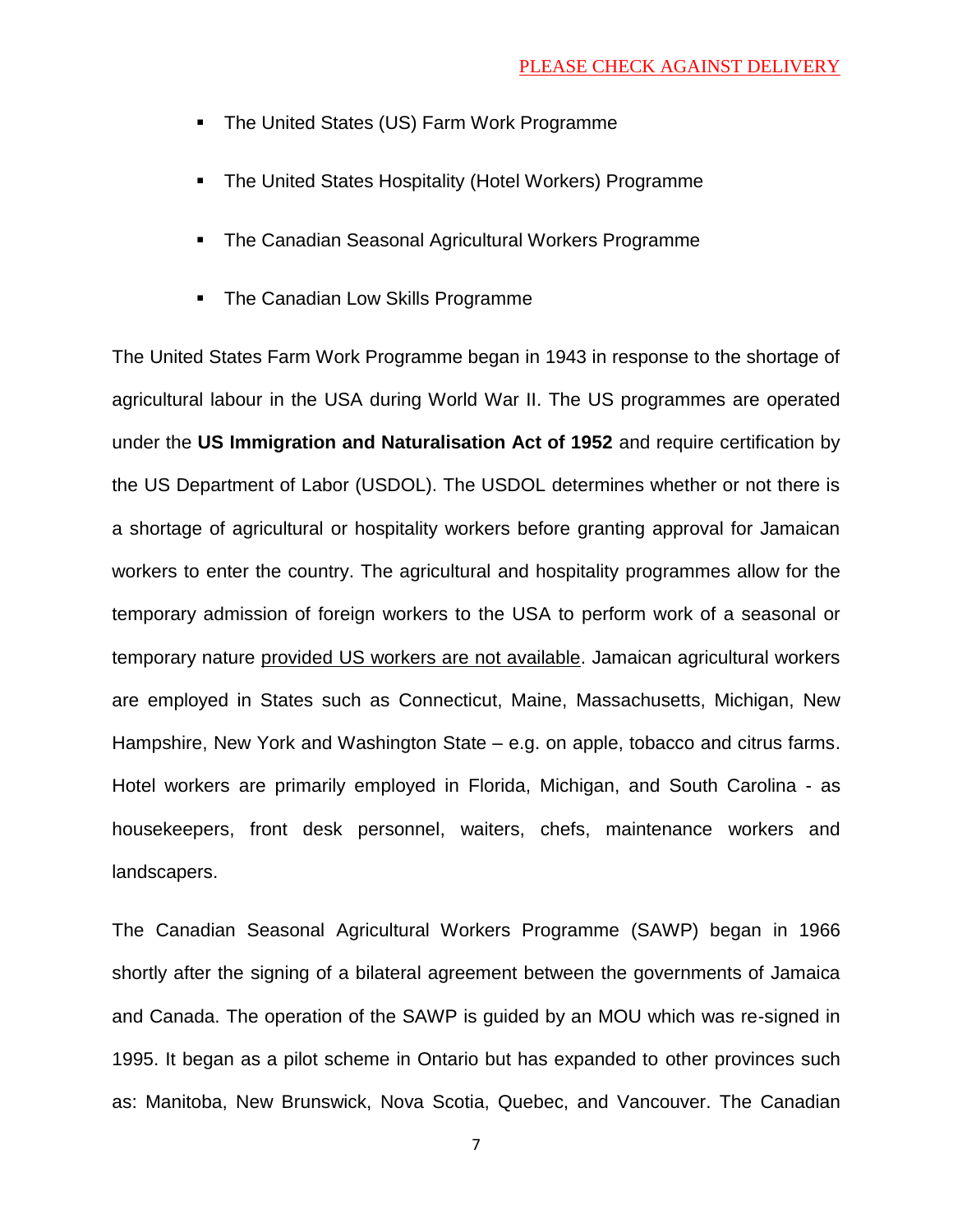- The United States (US) Farm Work Programme
- **The United States Hospitality (Hotel Workers) Programme**
- **The Canadian Seasonal Agricultural Workers Programme**
- **The Canadian Low Skills Programme**

The United States Farm Work Programme began in 1943 in response to the shortage of agricultural labour in the USA during World War II. The US programmes are operated under the **US Immigration and Naturalisation Act of 1952** and require certification by the US Department of Labor (USDOL). The USDOL determines whether or not there is a shortage of agricultural or hospitality workers before granting approval for Jamaican workers to enter the country. The agricultural and hospitality programmes allow for the temporary admission of foreign workers to the USA to perform work of a seasonal or temporary nature provided US workers are not available. Jamaican agricultural workers are employed in States such as Connecticut, Maine, Massachusetts, Michigan, New Hampshire, New York and Washington State – e.g. on apple, tobacco and citrus farms. Hotel workers are primarily employed in Florida, Michigan, and South Carolina - as housekeepers, front desk personnel, waiters, chefs, maintenance workers and landscapers.

The Canadian Seasonal Agricultural Workers Programme (SAWP) began in 1966 shortly after the signing of a bilateral agreement between the governments of Jamaica and Canada. The operation of the SAWP is guided by an MOU which was re-signed in 1995. It began as a pilot scheme in Ontario but has expanded to other provinces such as: Manitoba, New Brunswick, Nova Scotia, Quebec, and Vancouver. The Canadian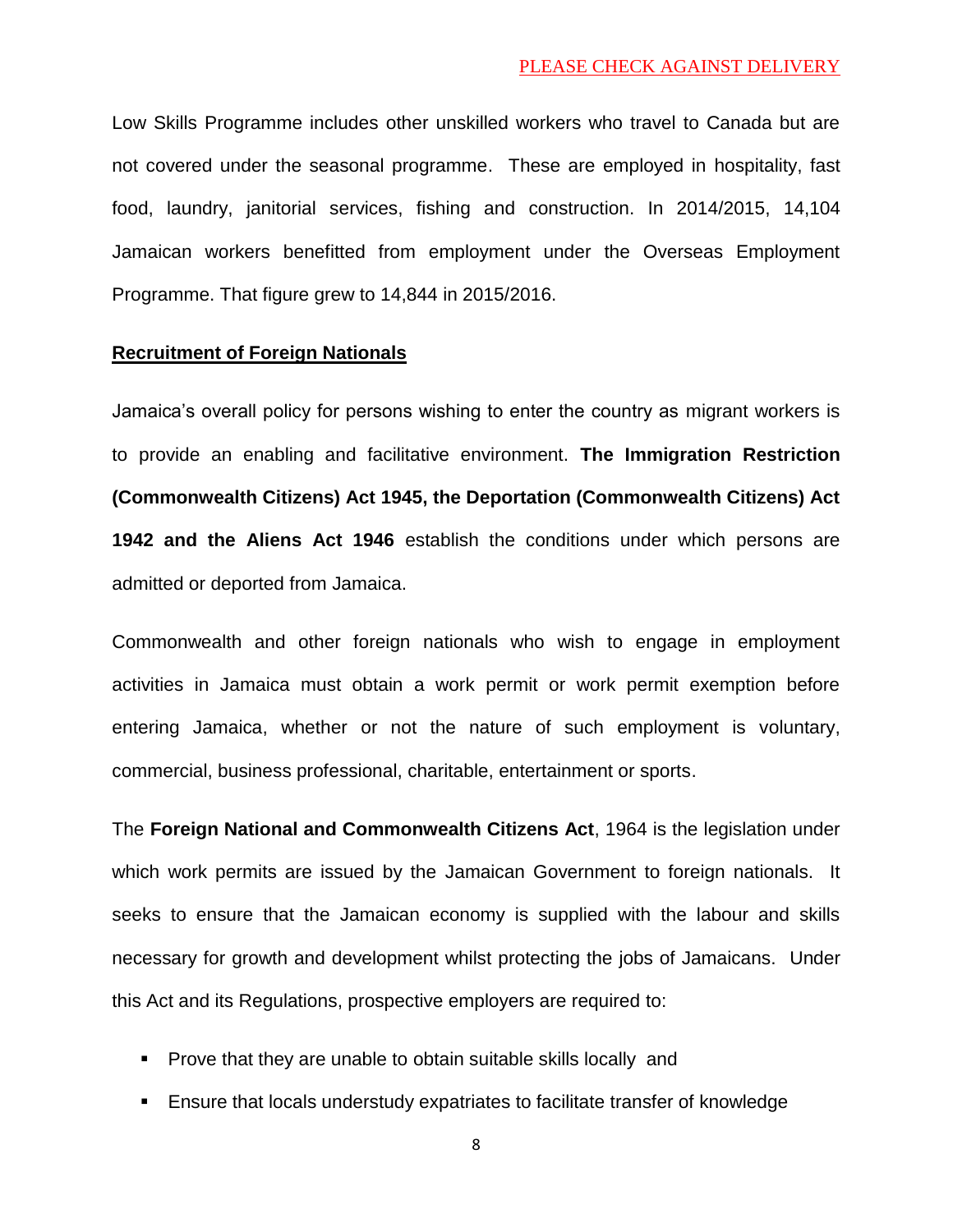Low Skills Programme includes other unskilled workers who travel to Canada but are not covered under the seasonal programme. These are employed in hospitality, fast food, laundry, janitorial services, fishing and construction. In 2014/2015, 14,104 Jamaican workers benefitted from employment under the Overseas Employment Programme. That figure grew to 14,844 in 2015/2016.

## **Recruitment of Foreign Nationals**

Jamaica's overall policy for persons wishing to enter the country as migrant workers is to provide an enabling and facilitative environment. **The Immigration Restriction (Commonwealth Citizens) Act 1945, the Deportation (Commonwealth Citizens) Act 1942 and the Aliens Act 1946** establish the conditions under which persons are admitted or deported from Jamaica.

Commonwealth and other foreign nationals who wish to engage in employment activities in Jamaica must obtain a work permit or work permit exemption before entering Jamaica, whether or not the nature of such employment is voluntary, commercial, business professional, charitable, entertainment or sports.

The **Foreign National and Commonwealth Citizens Act**, 1964 is the legislation under which work permits are issued by the Jamaican Government to foreign nationals. It seeks to ensure that the Jamaican economy is supplied with the labour and skills necessary for growth and development whilst protecting the jobs of Jamaicans. Under this Act and its Regulations, prospective employers are required to:

- **Prove that they are unable to obtain suitable skills locally and**
- Ensure that locals understudy expatriates to facilitate transfer of knowledge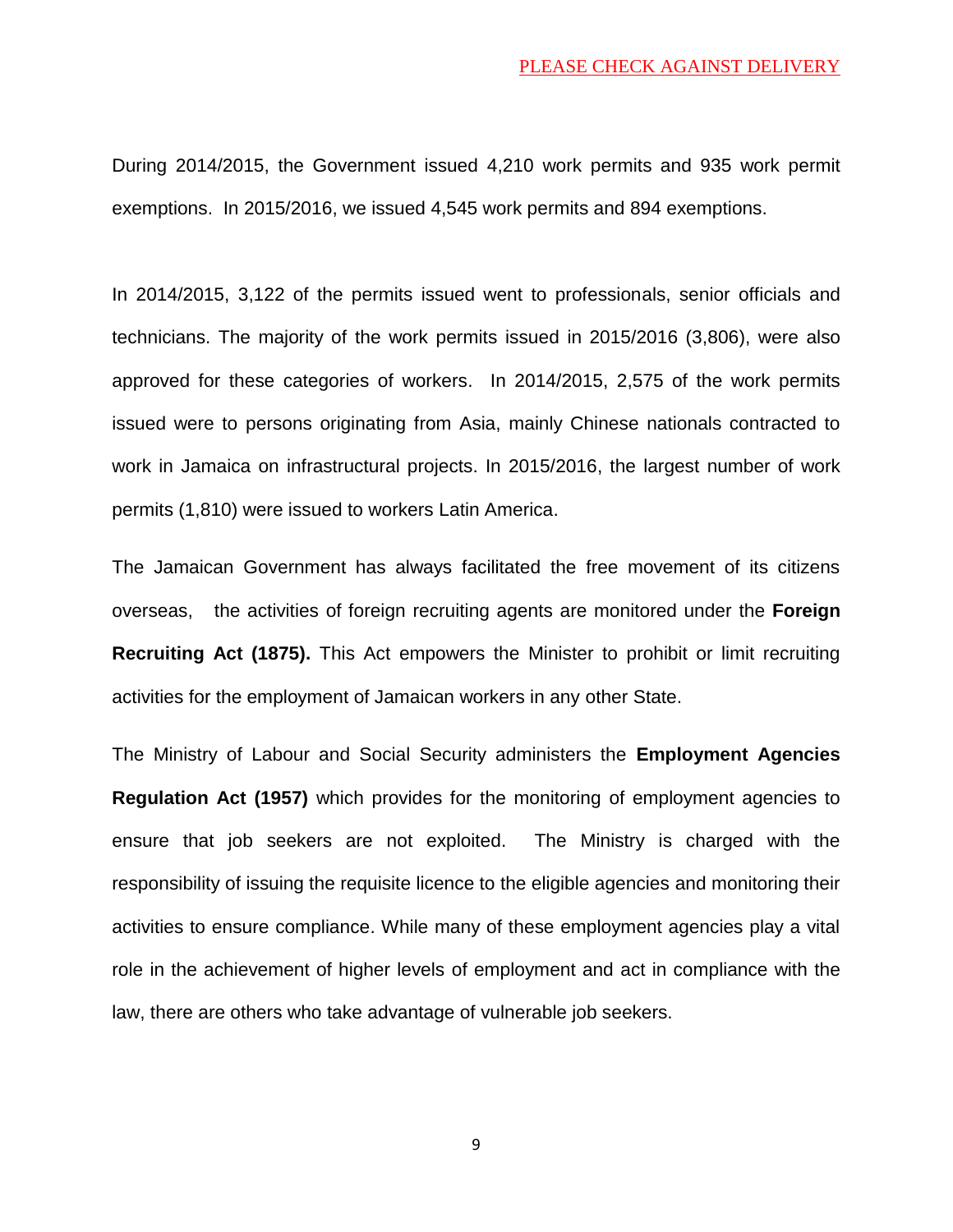During 2014/2015, the Government issued 4,210 work permits and 935 work permit exemptions. In 2015/2016, we issued 4,545 work permits and 894 exemptions.

In 2014/2015, 3,122 of the permits issued went to professionals, senior officials and technicians. The majority of the work permits issued in 2015/2016 (3,806), were also approved for these categories of workers. In 2014/2015, 2,575 of the work permits issued were to persons originating from Asia, mainly Chinese nationals contracted to work in Jamaica on infrastructural projects. In 2015/2016, the largest number of work permits (1,810) were issued to workers Latin America.

The Jamaican Government has always facilitated the free movement of its citizens overseas, the activities of foreign recruiting agents are monitored under the **Foreign Recruiting Act (1875).** This Act empowers the Minister to prohibit or limit recruiting activities for the employment of Jamaican workers in any other State.

The Ministry of Labour and Social Security administers the **Employment Agencies Regulation Act (1957)** which provides for the monitoring of employment agencies to ensure that job seekers are not exploited. The Ministry is charged with the responsibility of issuing the requisite licence to the eligible agencies and monitoring their activities to ensure compliance. While many of these employment agencies play a vital role in the achievement of higher levels of employment and act in compliance with the law, there are others who take advantage of vulnerable job seekers.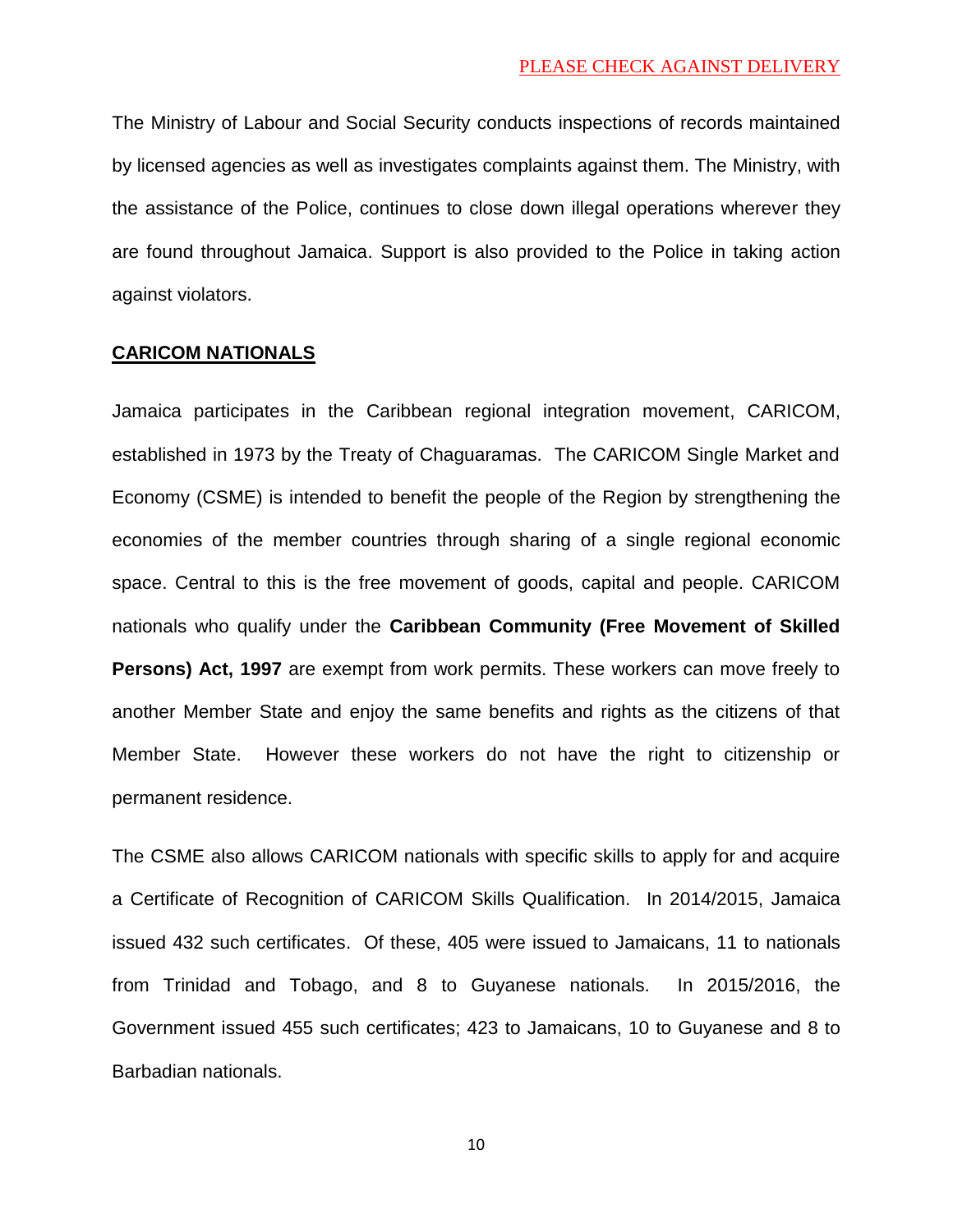The Ministry of Labour and Social Security conducts inspections of records maintained by licensed agencies as well as investigates complaints against them. The Ministry, with the assistance of the Police, continues to close down illegal operations wherever they are found throughout Jamaica. Support is also provided to the Police in taking action against violators.

#### **CARICOM NATIONALS**

Jamaica participates in the Caribbean regional integration movement, CARICOM, established in 1973 by the Treaty of Chaguaramas. The CARICOM Single Market and Economy (CSME) is intended to benefit the people of the Region by strengthening the economies of the member countries through sharing of a single regional economic space. Central to this is the free movement of goods, capital and people. CARICOM nationals who qualify under the **Caribbean Community (Free Movement of Skilled Persons) Act, 1997** are exempt from work permits. These workers can move freely to another Member State and enjoy the same benefits and rights as the citizens of that Member State. However these workers do not have the right to citizenship or permanent residence.

The CSME also allows CARICOM nationals with specific skills to apply for and acquire a Certificate of Recognition of CARICOM Skills Qualification. In 2014/2015, Jamaica issued 432 such certificates. Of these, 405 were issued to Jamaicans, 11 to nationals from Trinidad and Tobago, and 8 to Guyanese nationals. In 2015/2016, the Government issued 455 such certificates; 423 to Jamaicans, 10 to Guyanese and 8 to Barbadian nationals.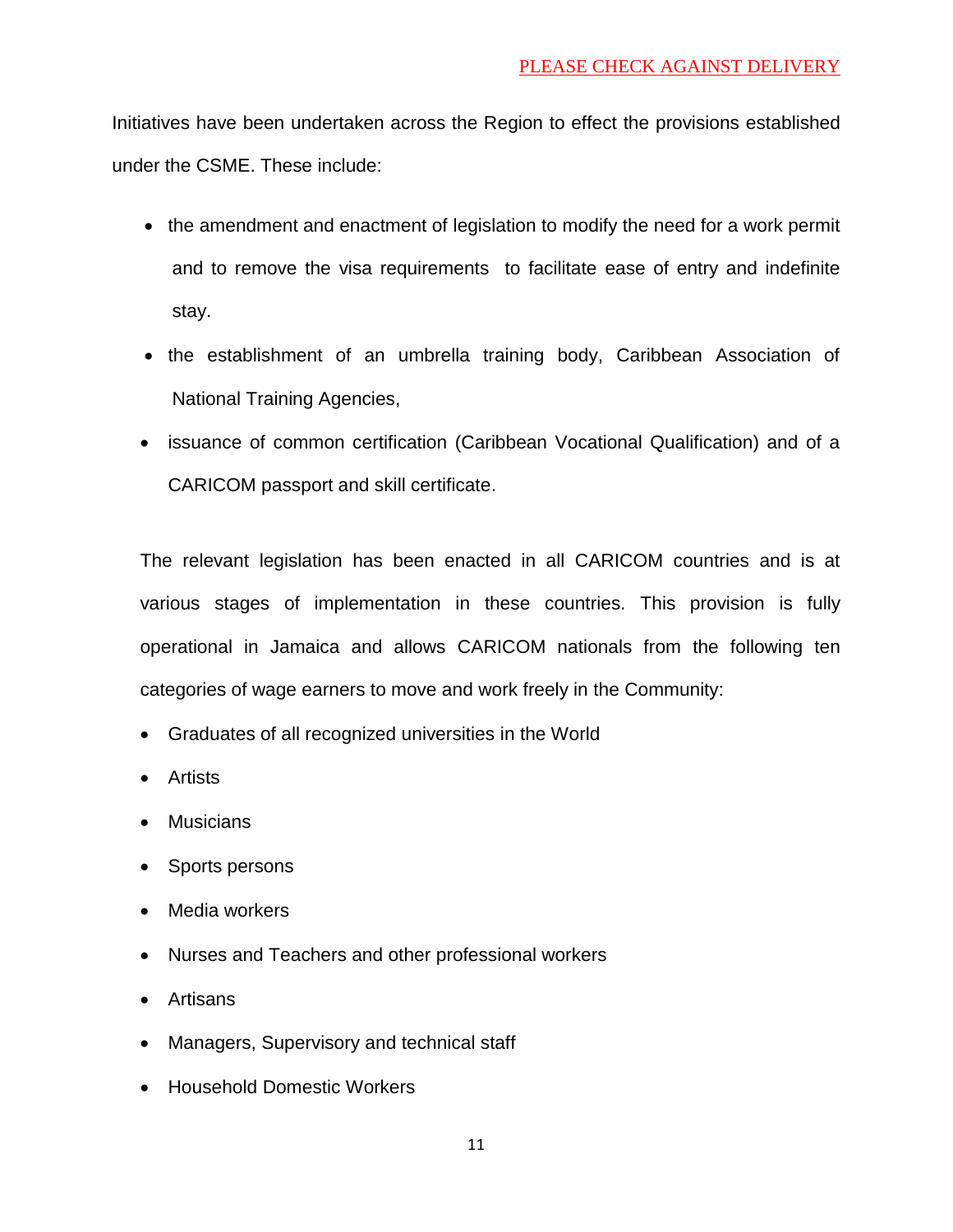Initiatives have been undertaken across the Region to effect the provisions established under the CSME. These include:

- the amendment and enactment of legislation to modify the need for a work permit and to remove the visa requirements to facilitate ease of entry and indefinite stay.
- the establishment of an umbrella training body, Caribbean Association of National Training Agencies,
- issuance of common certification (Caribbean Vocational Qualification) and of a CARICOM passport and skill certificate.

The relevant legislation has been enacted in all CARICOM countries and is at various stages of implementation in these countries. This provision is fully operational in Jamaica and allows CARICOM nationals from the following ten categories of wage earners to move and work freely in the Community:

- Graduates of all recognized universities in the World
- Artists
- Musicians
- Sports persons
- Media workers
- Nurses and Teachers and other professional workers
- Artisans
- Managers, Supervisory and technical staff
- Household Domestic Workers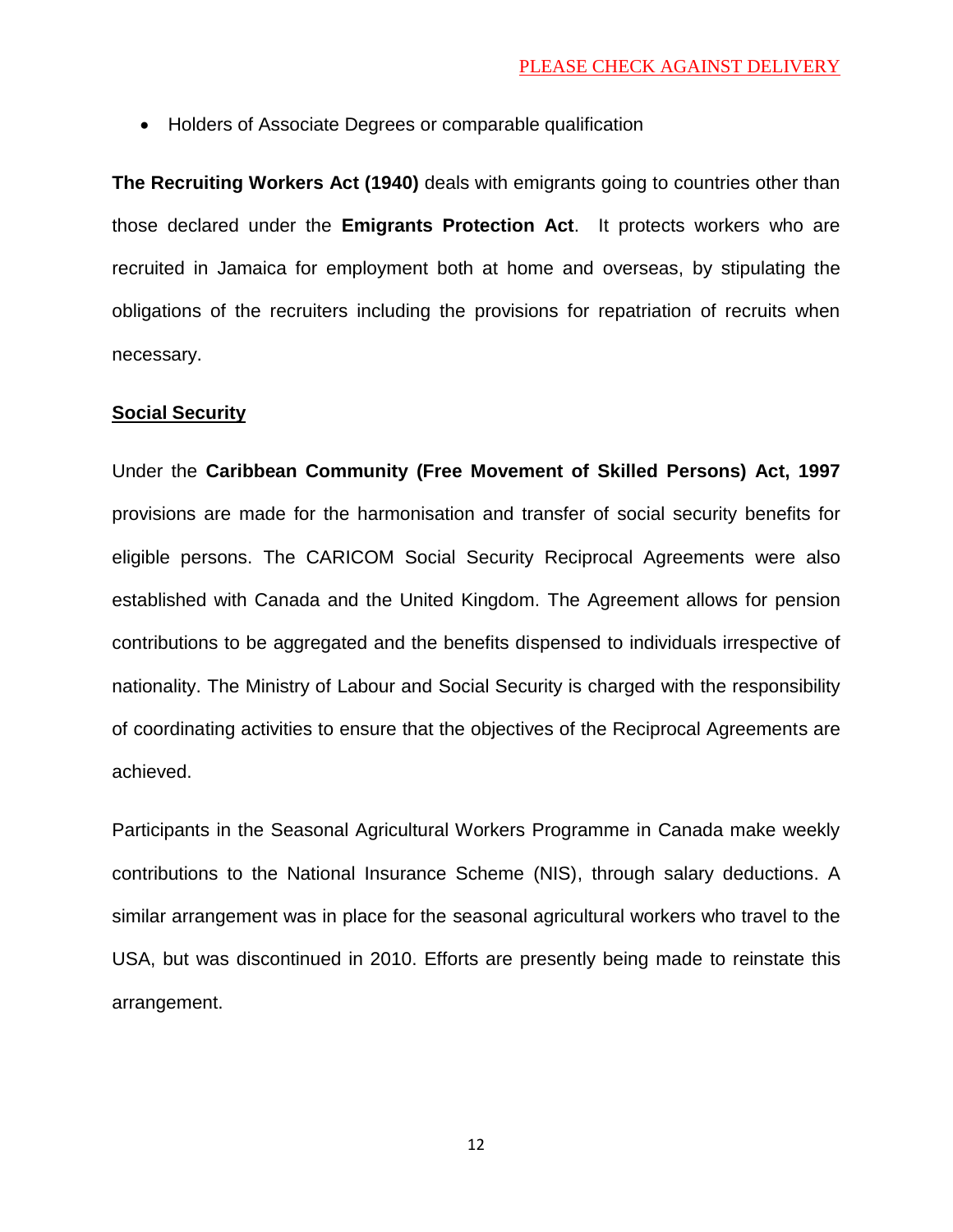Holders of Associate Degrees or comparable qualification

**The Recruiting Workers Act (1940)** deals with emigrants going to countries other than those declared under the **Emigrants Protection Act**. It protects workers who are recruited in Jamaica for employment both at home and overseas, by stipulating the obligations of the recruiters including the provisions for repatriation of recruits when necessary.

## **Social Security**

Under the **Caribbean Community (Free Movement of Skilled Persons) Act, 1997** provisions are made for the harmonisation and transfer of social security benefits for eligible persons. The CARICOM Social Security Reciprocal Agreements were also established with Canada and the United Kingdom. The Agreement allows for pension contributions to be aggregated and the benefits dispensed to individuals irrespective of nationality. The Ministry of Labour and Social Security is charged with the responsibility of coordinating activities to ensure that the objectives of the Reciprocal Agreements are achieved.

Participants in the Seasonal Agricultural Workers Programme in Canada make weekly contributions to the National Insurance Scheme (NIS), through salary deductions. A similar arrangement was in place for the seasonal agricultural workers who travel to the USA, but was discontinued in 2010. Efforts are presently being made to reinstate this arrangement.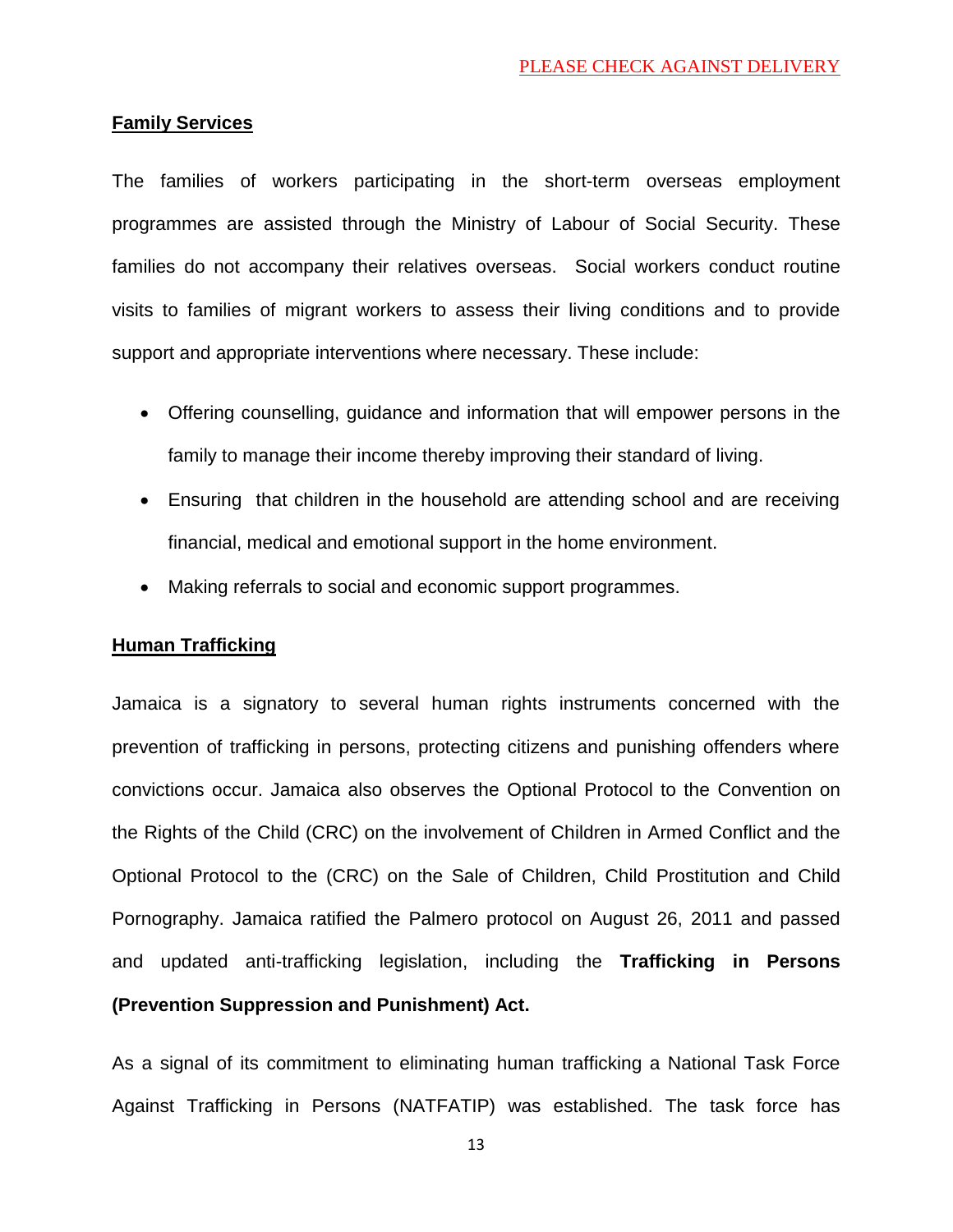## **Family Services**

The families of workers participating in the short-term overseas employment programmes are assisted through the Ministry of Labour of Social Security. These families do not accompany their relatives overseas. Social workers conduct routine visits to families of migrant workers to assess their living conditions and to provide support and appropriate interventions where necessary. These include:

- Offering counselling, guidance and information that will empower persons in the family to manage their income thereby improving their standard of living.
- Ensuring that children in the household are attending school and are receiving financial, medical and emotional support in the home environment.
- Making referrals to social and economic support programmes.

## **Human Trafficking**

Jamaica is a signatory to several human rights instruments concerned with the prevention of trafficking in persons, protecting citizens and punishing offenders where convictions occur. Jamaica also observes the Optional Protocol to the Convention on the Rights of the Child (CRC) on the involvement of Children in Armed Conflict and the Optional Protocol to the (CRC) on the Sale of Children, Child Prostitution and Child Pornography. Jamaica ratified the Palmero protocol on August 26, 2011 and passed and updated anti-trafficking legislation, including the **Trafficking in Persons (Prevention Suppression and Punishment) Act.**

As a signal of its commitment to eliminating human trafficking a National Task Force Against Trafficking in Persons (NATFATIP) was established. The task force has